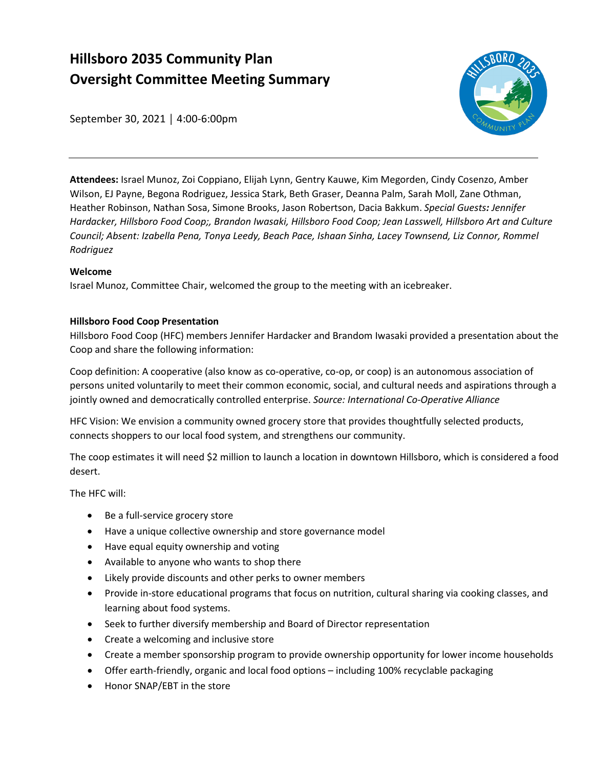# **Hillsboro 2035 Community Plan Oversight Committee Meeting Summary**



September 30, 2021 │ 4:00-6:00pm

**Attendees:** Israel Munoz, Zoi Coppiano, Elijah Lynn, Gentry Kauwe, Kim Megorden, Cindy Cosenzo, Amber Wilson, EJ Payne, Begona Rodriguez, Jessica Stark, Beth Graser, Deanna Palm, Sarah Moll, Zane Othman, Heather Robinson, Nathan Sosa, Simone Brooks, Jason Robertson, Dacia Bakkum. *Special Guests: Jennifer Hardacker, Hillsboro Food Coop;, Brandon Iwasaki, Hillsboro Food Coop; Jean Lasswell, Hillsboro Art and Culture Council; Absent: Izabella Pena, Tonya Leedy, Beach Pace, Ishaan Sinha, Lacey Townsend, Liz Connor, Rommel Rodriguez*

## **Welcome**

Israel Munoz, Committee Chair, welcomed the group to the meeting with an icebreaker.

## **Hillsboro Food Coop Presentation**

Hillsboro Food Coop (HFC) members Jennifer Hardacker and Brandom Iwasaki provided a presentation about the Coop and share the following information:

Coop definition: A cooperative (also know as co-operative, co-op, or coop) is an autonomous association of persons united voluntarily to meet their common economic, social, and cultural needs and aspirations through a jointly owned and democratically controlled enterprise. *Source: International Co-Operative Alliance*

HFC Vision: We envision a community owned grocery store that provides thoughtfully selected products, connects shoppers to our local food system, and strengthens our community.

The coop estimates it will need \$2 million to launch a location in downtown Hillsboro, which is considered a food desert.

The HFC will:

- Be a full-service grocery store
- Have a unique collective ownership and store governance model
- Have equal equity ownership and voting
- Available to anyone who wants to shop there
- Likely provide discounts and other perks to owner members
- Provide in-store educational programs that focus on nutrition, cultural sharing via cooking classes, and learning about food systems.
- Seek to further diversify membership and Board of Director representation
- Create a welcoming and inclusive store
- Create a member sponsorship program to provide ownership opportunity for lower income households
- Offer earth-friendly, organic and local food options including 100% recyclable packaging
- Honor SNAP/EBT in the store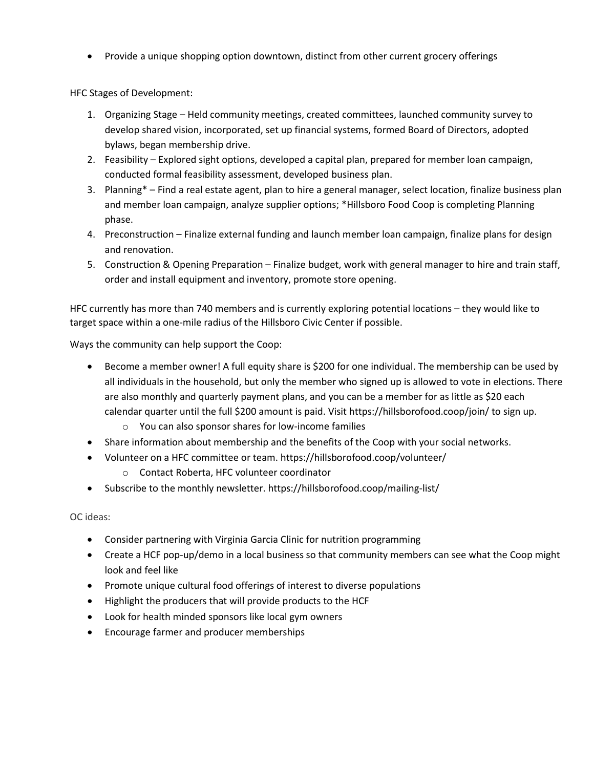• Provide a unique shopping option downtown, distinct from other current grocery offerings

HFC Stages of Development:

- 1. Organizing Stage Held community meetings, created committees, launched community survey to develop shared vision, incorporated, set up financial systems, formed Board of Directors, adopted bylaws, began membership drive.
- 2. Feasibility Explored sight options, developed a capital plan, prepared for member loan campaign, conducted formal feasibility assessment, developed business plan.
- 3. Planning\* Find a real estate agent, plan to hire a general manager, select location, finalize business plan and member loan campaign, analyze supplier options; \*Hillsboro Food Coop is completing Planning phase.
- 4. Preconstruction Finalize external funding and launch member loan campaign, finalize plans for design and renovation.
- 5. Construction & Opening Preparation Finalize budget, work with general manager to hire and train staff, order and install equipment and inventory, promote store opening.

HFC currently has more than 740 members and is currently exploring potential locations – they would like to target space within a one-mile radius of the Hillsboro Civic Center if possible.

Ways the community can help support the Coop:

- Become a member owner! A full equity share is \$200 for one individual. The membership can be used by all individuals in the household, but only the member who signed up is allowed to vote in elections. There are also monthly and quarterly payment plans, and you can be a member for as little as \$20 each calendar quarter until the full \$200 amount is paid. Visit<https://hillsborofood.coop/join/> to sign up.
	- o You can also sponsor shares for low-income families
- Share information about membership and the benefits of the Coop with your social networks.
- Volunteer on a HFC committee or team.<https://hillsborofood.coop/volunteer/>
	- o Contact Roberta, HFC volunteer coordinator
- Subscribe to the monthly newsletter.<https://hillsborofood.coop/mailing-list/>

OC ideas:

- Consider partnering with Virginia Garcia Clinic for nutrition programming
- Create a HCF pop-up/demo in a local business so that community members can see what the Coop might look and feel like
- Promote unique cultural food offerings of interest to diverse populations
- Highlight the producers that will provide products to the HCF
- Look for health minded sponsors like local gym owners
- Encourage farmer and producer memberships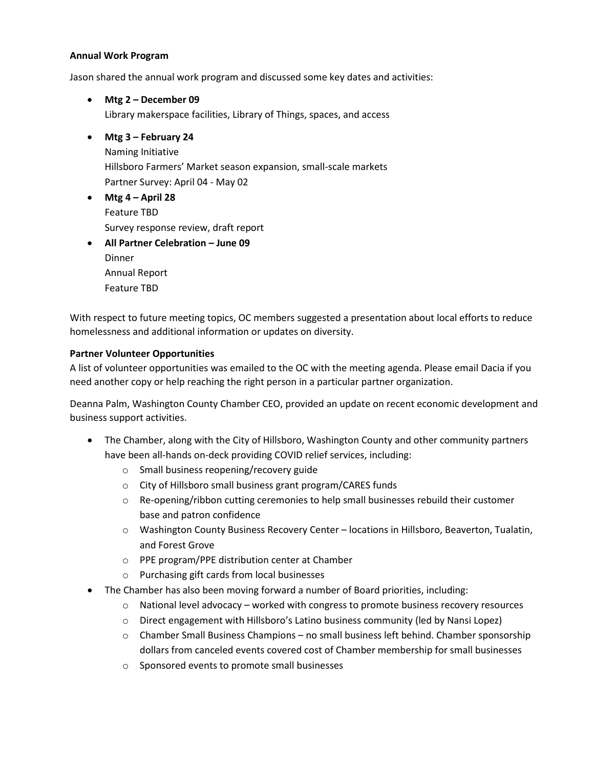#### **Annual Work Program**

Jason shared the annual work program and discussed some key dates and activities:

- **Mtg 2 – December 09** Library makerspace facilities, Library of Things, spaces, and access
- **Mtg 3 – February 24** Naming Initiative Hillsboro Farmers' Market season expansion, small-scale markets Partner Survey: April 04 - May 02
- **Mtg 4 – April 28** Feature TBD Survey response review, draft report
- **All Partner Celebration – June 09 Dinner** Annual Report Feature TBD

With respect to future meeting topics, OC members suggested a presentation about local efforts to reduce homelessness and additional information or updates on diversity.

#### **Partner Volunteer Opportunities**

A list of volunteer opportunities was emailed to the OC with the meeting agenda. Please email Dacia if you need another copy or help reaching the right person in a particular partner organization.

Deanna Palm, Washington County Chamber CEO, provided an update on recent economic development and business support activities.

- The Chamber, along with the City of Hillsboro, Washington County and other community partners have been all-hands on-deck providing COVID relief services, including:
	- o Small business reopening/recovery guide
	- o City of Hillsboro small business grant program/CARES funds
	- $\circ$  Re-opening/ribbon cutting ceremonies to help small businesses rebuild their customer base and patron confidence
	- o Washington County Business Recovery Center locations in Hillsboro, Beaverton, Tualatin, and Forest Grove
	- o PPE program/PPE distribution center at Chamber
	- o Purchasing gift cards from local businesses
- The Chamber has also been moving forward a number of Board priorities, including:
	- $\circ$  National level advocacy worked with congress to promote business recovery resources
	- $\circ$  Direct engagement with Hillsboro's Latino business community (led by Nansi Lopez)
	- $\circ$  Chamber Small Business Champions no small business left behind. Chamber sponsorship dollars from canceled events covered cost of Chamber membership for small businesses
	- o Sponsored events to promote small businesses